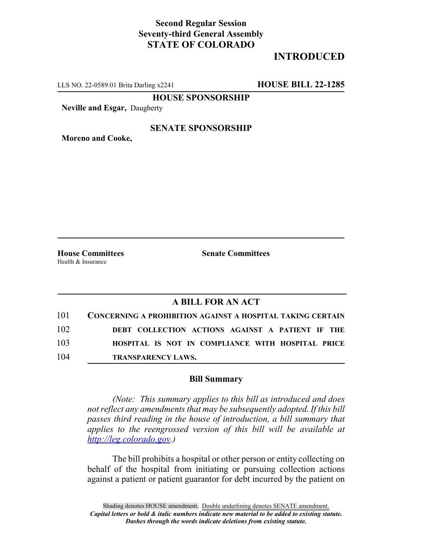## **Second Regular Session Seventy-third General Assembly STATE OF COLORADO**

# **INTRODUCED**

LLS NO. 22-0589.01 Brita Darling x2241 **HOUSE BILL 22-1285**

**HOUSE SPONSORSHIP**

**Neville and Esgar,** Daugherty

### **SENATE SPONSORSHIP**

**Moreno and Cooke,**

Health & Insurance

**House Committees Senate Committees**

### **A BILL FOR AN ACT**

| 101 | <b>CONCERNING A PROHIBITION AGAINST A HOSPITAL TAKING CERTAIN</b> |
|-----|-------------------------------------------------------------------|
| 102 | DEBT COLLECTION ACTIONS AGAINST A PATIENT IF THE                  |
| 103 | HOSPITAL IS NOT IN COMPLIANCE WITH HOSPITAL PRICE                 |
| 104 | <b>TRANSPARENCY LAWS.</b>                                         |

#### **Bill Summary**

*(Note: This summary applies to this bill as introduced and does not reflect any amendments that may be subsequently adopted. If this bill passes third reading in the house of introduction, a bill summary that applies to the reengrossed version of this bill will be available at http://leg.colorado.gov.)*

The bill prohibits a hospital or other person or entity collecting on behalf of the hospital from initiating or pursuing collection actions against a patient or patient guarantor for debt incurred by the patient on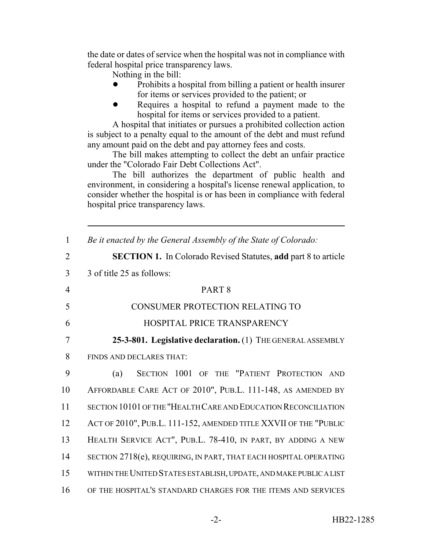the date or dates of service when the hospital was not in compliance with federal hospital price transparency laws.

Nothing in the bill:

- ! Prohibits a hospital from billing a patient or health insurer for items or services provided to the patient; or
- Requires a hospital to refund a payment made to the hospital for items or services provided to a patient.

A hospital that initiates or pursues a prohibited collection action is subject to a penalty equal to the amount of the debt and must refund any amount paid on the debt and pay attorney fees and costs.

The bill makes attempting to collect the debt an unfair practice under the "Colorado Fair Debt Collections Act".

The bill authorizes the department of public health and environment, in considering a hospital's license renewal application, to consider whether the hospital is or has been in compliance with federal hospital price transparency laws.

| $\mathbf{1}$   | Be it enacted by the General Assembly of the State of Colorado:       |
|----------------|-----------------------------------------------------------------------|
| $\overline{2}$ | <b>SECTION 1.</b> In Colorado Revised Statutes, add part 8 to article |
| 3              | 3 of title 25 as follows:                                             |
| $\overline{4}$ | PART <sub>8</sub>                                                     |
| 5              | CONSUMER PROTECTION RELATING TO                                       |
| 6              | HOSPITAL PRICE TRANSPARENCY                                           |
| 7              | 25-3-801. Legislative declaration. (1) THE GENERAL ASSEMBLY           |
| 8              | FINDS AND DECLARES THAT:                                              |
| 9              | SECTION 1001 OF THE "PATIENT PROTECTION<br>(a)<br>AND                 |
| 10             | AFFORDABLE CARE ACT OF 2010", PUB.L. 111-148, AS AMENDED BY           |
| 11             | SECTION 10101 OF THE "HEALTH CARE AND EDUCATION RECONCILIATION        |
| 12             | ACT OF 2010", PUB.L. 111-152, AMENDED TITLE XXVII OF THE "PUBLIC      |
| 13             | HEALTH SERVICE ACT", PUB.L. 78-410, IN PART, BY ADDING A NEW          |
| 14             | SECTION 2718(e), REQUIRING, IN PART, THAT EACH HOSPITAL OPERATING     |
| 15             | WITHIN THE UNITED STATES ESTABLISH, UPDATE, AND MAKE PUBLIC A LIST    |
| 16             | OF THE HOSPITAL'S STANDARD CHARGES FOR THE ITEMS AND SERVICES         |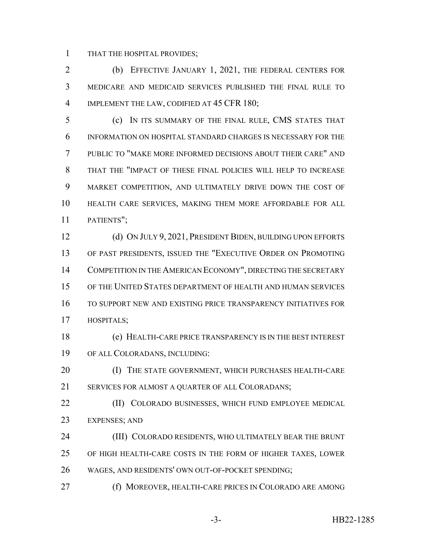THAT THE HOSPITAL PROVIDES;

 (b) EFFECTIVE JANUARY 1, 2021, THE FEDERAL CENTERS FOR MEDICARE AND MEDICAID SERVICES PUBLISHED THE FINAL RULE TO 4 IMPLEMENT THE LAW, CODIFIED AT 45 CFR 180;

 (c) IN ITS SUMMARY OF THE FINAL RULE, CMS STATES THAT INFORMATION ON HOSPITAL STANDARD CHARGES IS NECESSARY FOR THE PUBLIC TO "MAKE MORE INFORMED DECISIONS ABOUT THEIR CARE" AND THAT THE "IMPACT OF THESE FINAL POLICIES WILL HELP TO INCREASE MARKET COMPETITION, AND ULTIMATELY DRIVE DOWN THE COST OF HEALTH CARE SERVICES, MAKING THEM MORE AFFORDABLE FOR ALL PATIENTS";

 (d) ON JULY 9, 2021, PRESIDENT BIDEN, BUILDING UPON EFFORTS OF PAST PRESIDENTS, ISSUED THE "EXECUTIVE ORDER ON PROMOTING COMPETITION IN THE AMERICAN ECONOMY", DIRECTING THE SECRETARY OF THE UNITED STATES DEPARTMENT OF HEALTH AND HUMAN SERVICES TO SUPPORT NEW AND EXISTING PRICE TRANSPARENCY INITIATIVES FOR HOSPITALS;

 (e) HEALTH-CARE PRICE TRANSPARENCY IS IN THE BEST INTEREST OF ALL COLORADANS, INCLUDING:

**(I) THE STATE GOVERNMENT, WHICH PURCHASES HEALTH-CARE** 21 SERVICES FOR ALMOST A OUARTER OF ALL COLORADANS;

**(II) COLORADO BUSINESSES, WHICH FUND EMPLOYEE MEDICAL** EXPENSES; AND

 (III) COLORADO RESIDENTS, WHO ULTIMATELY BEAR THE BRUNT OF HIGH HEALTH-CARE COSTS IN THE FORM OF HIGHER TAXES, LOWER WAGES, AND RESIDENTS' OWN OUT-OF-POCKET SPENDING;

(f) MOREOVER, HEALTH-CARE PRICES IN COLORADO ARE AMONG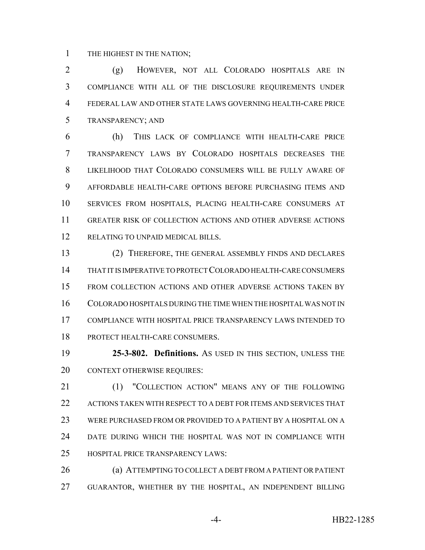THE HIGHEST IN THE NATION;

 (g) HOWEVER, NOT ALL COLORADO HOSPITALS ARE IN COMPLIANCE WITH ALL OF THE DISCLOSURE REQUIREMENTS UNDER FEDERAL LAW AND OTHER STATE LAWS GOVERNING HEALTH-CARE PRICE TRANSPARENCY; AND

 (h) THIS LACK OF COMPLIANCE WITH HEALTH-CARE PRICE TRANSPARENCY LAWS BY COLORADO HOSPITALS DECREASES THE LIKELIHOOD THAT COLORADO CONSUMERS WILL BE FULLY AWARE OF AFFORDABLE HEALTH-CARE OPTIONS BEFORE PURCHASING ITEMS AND SERVICES FROM HOSPITALS, PLACING HEALTH-CARE CONSUMERS AT GREATER RISK OF COLLECTION ACTIONS AND OTHER ADVERSE ACTIONS 12 RELATING TO UNPAID MEDICAL BILLS.

 (2) THEREFORE, THE GENERAL ASSEMBLY FINDS AND DECLARES THAT IT IS IMPERATIVE TO PROTECT COLORADO HEALTH-CARE CONSUMERS FROM COLLECTION ACTIONS AND OTHER ADVERSE ACTIONS TAKEN BY COLORADO HOSPITALS DURING THE TIME WHEN THE HOSPITAL WAS NOT IN COMPLIANCE WITH HOSPITAL PRICE TRANSPARENCY LAWS INTENDED TO PROTECT HEALTH-CARE CONSUMERS.

 **25-3-802. Definitions.** AS USED IN THIS SECTION, UNLESS THE CONTEXT OTHERWISE REQUIRES:

21 (1) "COLLECTION ACTION" MEANS ANY OF THE FOLLOWING 22 ACTIONS TAKEN WITH RESPECT TO A DEBT FOR ITEMS AND SERVICES THAT WERE PURCHASED FROM OR PROVIDED TO A PATIENT BY A HOSPITAL ON A DATE DURING WHICH THE HOSPITAL WAS NOT IN COMPLIANCE WITH HOSPITAL PRICE TRANSPARENCY LAWS:

 (a) ATTEMPTING TO COLLECT A DEBT FROM A PATIENT OR PATIENT GUARANTOR, WHETHER BY THE HOSPITAL, AN INDEPENDENT BILLING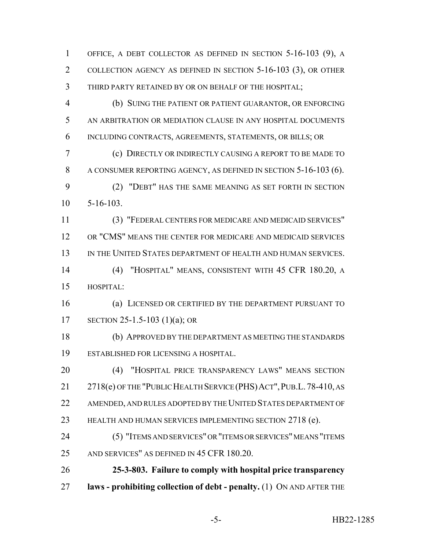OFFICE, A DEBT COLLECTOR AS DEFINED IN SECTION 5-16-103 (9), A COLLECTION AGENCY AS DEFINED IN SECTION 5-16-103 (3), OR OTHER THIRD PARTY RETAINED BY OR ON BEHALF OF THE HOSPITAL; (b) SUING THE PATIENT OR PATIENT GUARANTOR, OR ENFORCING

 AN ARBITRATION OR MEDIATION CLAUSE IN ANY HOSPITAL DOCUMENTS INCLUDING CONTRACTS, AGREEMENTS, STATEMENTS, OR BILLS; OR

 (c) DIRECTLY OR INDIRECTLY CAUSING A REPORT TO BE MADE TO A CONSUMER REPORTING AGENCY, AS DEFINED IN SECTION 5-16-103 (6). (2) "DEBT" HAS THE SAME MEANING AS SET FORTH IN SECTION

5-16-103.

 (3) "FEDERAL CENTERS FOR MEDICARE AND MEDICAID SERVICES" OR "CMS" MEANS THE CENTER FOR MEDICARE AND MEDICAID SERVICES IN THE UNITED STATES DEPARTMENT OF HEALTH AND HUMAN SERVICES.

 (4) "HOSPITAL" MEANS, CONSISTENT WITH 45 CFR 180.20, A HOSPITAL:

 (a) LICENSED OR CERTIFIED BY THE DEPARTMENT PURSUANT TO SECTION 25-1.5-103 (1)(a); OR

 (b) APPROVED BY THE DEPARTMENT AS MEETING THE STANDARDS ESTABLISHED FOR LICENSING A HOSPITAL.

 (4) "HOSPITAL PRICE TRANSPARENCY LAWS" MEANS SECTION 21 2718(e) OF THE "PUBLIC HEALTH SERVICE (PHS) ACT", PUB.L. 78-410, AS AMENDED, AND RULES ADOPTED BY THE UNITED STATES DEPARTMENT OF HEALTH AND HUMAN SERVICES IMPLEMENTING SECTION 2718 (e).

 (5) "ITEMS AND SERVICES" OR "ITEMS OR SERVICES" MEANS "ITEMS AND SERVICES" AS DEFINED IN 45 CFR 180.20.

 **25-3-803. Failure to comply with hospital price transparency laws - prohibiting collection of debt - penalty.** (1) ON AND AFTER THE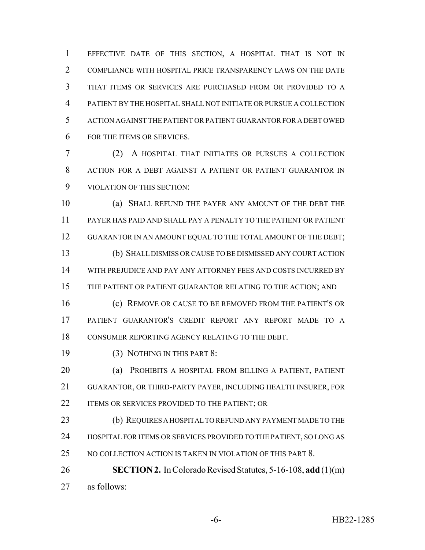EFFECTIVE DATE OF THIS SECTION, A HOSPITAL THAT IS NOT IN COMPLIANCE WITH HOSPITAL PRICE TRANSPARENCY LAWS ON THE DATE THAT ITEMS OR SERVICES ARE PURCHASED FROM OR PROVIDED TO A PATIENT BY THE HOSPITAL SHALL NOT INITIATE OR PURSUE A COLLECTION ACTION AGAINST THE PATIENT OR PATIENT GUARANTOR FOR A DEBT OWED FOR THE ITEMS OR SERVICES.

 (2) A HOSPITAL THAT INITIATES OR PURSUES A COLLECTION ACTION FOR A DEBT AGAINST A PATIENT OR PATIENT GUARANTOR IN VIOLATION OF THIS SECTION:

 (a) SHALL REFUND THE PAYER ANY AMOUNT OF THE DEBT THE PAYER HAS PAID AND SHALL PAY A PENALTY TO THE PATIENT OR PATIENT 12 GUARANTOR IN AN AMOUNT EQUAL TO THE TOTAL AMOUNT OF THE DEBT; (b) SHALL DISMISS OR CAUSE TO BE DISMISSED ANY COURT ACTION WITH PREJUDICE AND PAY ANY ATTORNEY FEES AND COSTS INCURRED BY 15 THE PATIENT OR PATIENT GUARANTOR RELATING TO THE ACTION; AND (c) REMOVE OR CAUSE TO BE REMOVED FROM THE PATIENT'S OR PATIENT GUARANTOR'S CREDIT REPORT ANY REPORT MADE TO A

CONSUMER REPORTING AGENCY RELATING TO THE DEBT.

19 (3) NOTHING IN THIS PART 8:

 (a) PROHIBITS A HOSPITAL FROM BILLING A PATIENT, PATIENT GUARANTOR, OR THIRD-PARTY PAYER, INCLUDING HEALTH INSURER, FOR 22 ITEMS OR SERVICES PROVIDED TO THE PATIENT; OR

 (b) REQUIRES A HOSPITAL TO REFUND ANY PAYMENT MADE TO THE 24 HOSPITAL FOR ITEMS OR SERVICES PROVIDED TO THE PATIENT, SO LONG AS 25 NO COLLECTION ACTION IS TAKEN IN VIOLATION OF THIS PART 8.

 **SECTION 2.** In Colorado Revised Statutes, 5-16-108, **add** (1)(m) as follows: